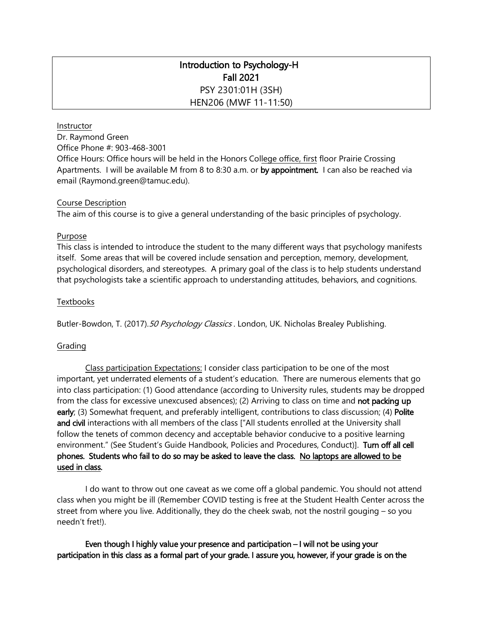# Introduction to Psychology-H Fall 2021 PSY 2301:01H (3SH) HEN206 (MWF 11-11:50)

#### Instructor

Dr. Raymond Green Office Phone #: 903-468-3001 Office Hours: Office hours will be held in the Honors College office, first floor Prairie Crossing Apartments. I will be available M from 8 to 8:30 a.m. or by appointment. I can also be reached via email (Raymond.green@tamuc.edu).

#### Course Description

The aim of this course is to give a general understanding of the basic principles of psychology.

#### Purpose

This class is intended to introduce the student to the many different ways that psychology manifests itself. Some areas that will be covered include sensation and perception, memory, development, psychological disorders, and stereotypes. A primary goal of the class is to help students understand that psychologists take a scientific approach to understanding attitudes, behaviors, and cognitions.

#### **Textbooks**

Butler-Bowdon, T. (2017). 50 Psychology Classics . London, UK. Nicholas Brealey Publishing.

#### Grading

Class participation Expectations: I consider class participation to be one of the most important, yet underrated elements of a student's education. There are numerous elements that go into class participation: (1) Good attendance (according to University rules, students may be dropped from the class for excessive unexcused absences); (2) Arriving to class on time and **not packing up** early; (3) Somewhat frequent, and preferably intelligent, contributions to class discussion; (4) Polite and civil interactions with all members of the class ["All students enrolled at the University shall follow the tenets of common decency and acceptable behavior conducive to a positive learning environment." (See Student's Guide Handbook, Policies and Procedures, Conduct)]. Turn off all cell phones. Students who fail to do so may be asked to leave the class. No laptops are allowed to be used in class.

I do want to throw out one caveat as we come off a global pandemic. You should not attend class when you might be ill (Remember COVID testing is free at the Student Health Center across the street from where you live. Additionally, they do the cheek swab, not the nostril gouging – so you needn't fret!).

Even though I highly value your presence and participation – I will not be using your participation in this class as a formal part of your grade. I assure you, however, if your grade is on the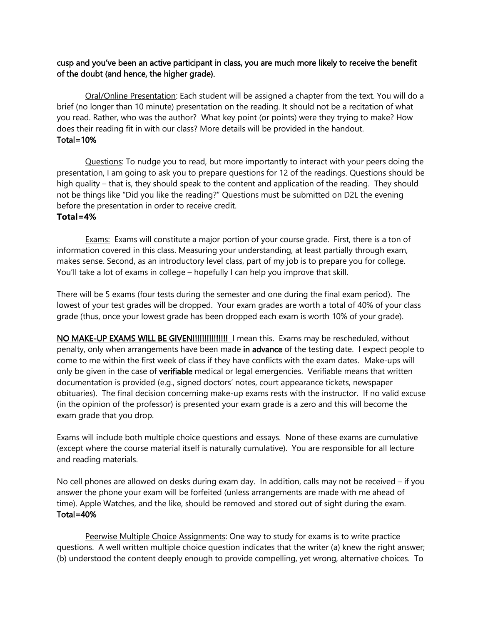# cusp and you've been an active participant in class, you are much more likely to receive the benefit of the doubt (and hence, the higher grade).

Oral/Online Presentation: Each student will be assigned a chapter from the text. You will do a brief (no longer than 10 minute) presentation on the reading. It should not be a recitation of what you read. Rather, who was the author? What key point (or points) were they trying to make? How does their reading fit in with our class? More details will be provided in the handout. Total=10%

 Questions: To nudge you to read, but more importantly to interact with your peers doing the presentation, I am going to ask you to prepare questions for 12 of the readings. Questions should be high quality – that is, they should speak to the content and application of the reading. They should not be things like "Did you like the reading?" Questions must be submitted on D2L the evening before the presentation in order to receive credit. **Total=4%**

Exams: Exams will constitute a major portion of your course grade. First, there is a ton of information covered in this class. Measuring your understanding, at least partially through exam, makes sense. Second, as an introductory level class, part of my job is to prepare you for college. You'll take a lot of exams in college – hopefully I can help you improve that skill.

There will be 5 exams (four tests during the semester and one during the final exam period). The lowest of your test grades will be dropped. Your exam grades are worth a total of 40% of your class grade (thus, once your lowest grade has been dropped each exam is worth 10% of your grade).

NO MAKE-UP EXAMS WILL BE GIVEN!!!!!!!!!!!!!!! I mean this. Exams may be rescheduled, without penalty, only when arrangements have been made in advance of the testing date. I expect people to come to me within the first week of class if they have conflicts with the exam dates. Make-ups will only be given in the case of verifiable medical or legal emergencies. Verifiable means that written documentation is provided (e.g., signed doctors' notes, court appearance tickets, newspaper obituaries). The final decision concerning make-up exams rests with the instructor. If no valid excuse (in the opinion of the professor) is presented your exam grade is a zero and this will become the exam grade that you drop.

Exams will include both multiple choice questions and essays. None of these exams are cumulative (except where the course material itself is naturally cumulative). You are responsible for all lecture and reading materials.

No cell phones are allowed on desks during exam day. In addition, calls may not be received – if you answer the phone your exam will be forfeited (unless arrangements are made with me ahead of time). Apple Watches, and the like, should be removed and stored out of sight during the exam. Total=40%

Peerwise Multiple Choice Assignments: One way to study for exams is to write practice questions. A well written multiple choice question indicates that the writer (a) knew the right answer; (b) understood the content deeply enough to provide compelling, yet wrong, alternative choices. To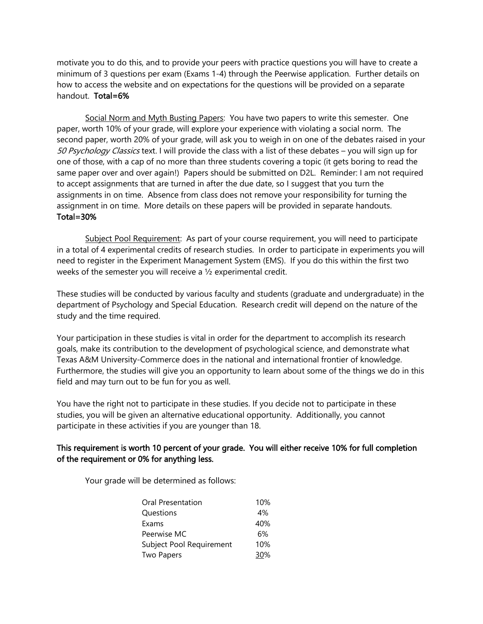motivate you to do this, and to provide your peers with practice questions you will have to create a minimum of 3 questions per exam (Exams 1-4) through the Peerwise application. Further details on how to access the website and on expectations for the questions will be provided on a separate handout. Total=6%

Social Norm and Myth Busting Papers: You have two papers to write this semester. One paper, worth 10% of your grade, will explore your experience with violating a social norm. The second paper, worth 20% of your grade, will ask you to weigh in on one of the debates raised in your 50 Psychology Classics text. I will provide the class with a list of these debates - you will sign up for one of those, with a cap of no more than three students covering a topic (it gets boring to read the same paper over and over again!) Papers should be submitted on D2L. Reminder: I am not required to accept assignments that are turned in after the due date, so I suggest that you turn the assignments in on time. Absence from class does not remove your responsibility for turning the assignment in on time. More details on these papers will be provided in separate handouts. Total=30%

Subject Pool Requirement: As part of your course requirement, you will need to participate in a total of 4 experimental credits of research studies. In order to participate in experiments you will need to register in the Experiment Management System (EMS). If you do this within the first two weeks of the semester you will receive a ½ experimental credit.

These studies will be conducted by various faculty and students (graduate and undergraduate) in the department of Psychology and Special Education. Research credit will depend on the nature of the study and the time required.

Your participation in these studies is vital in order for the department to accomplish its research goals, make its contribution to the development of psychological science, and demonstrate what Texas A&M University-Commerce does in the national and international frontier of knowledge. Furthermore, the studies will give you an opportunity to learn about some of the things we do in this field and may turn out to be fun for you as well.

You have the right not to participate in these studies. If you decide not to participate in these studies, you will be given an alternative educational opportunity. Additionally, you cannot participate in these activities if you are younger than 18.

# This requirement is worth 10 percent of your grade. You will either receive 10% for full completion of the requirement or 0% for anything less.

Your grade will be determined as follows:

| Oral Presentation        | 10% |
|--------------------------|-----|
| Questions                | 4%  |
| Exams                    | 40% |
| Peerwise MC              | 6%  |
| Subject Pool Requirement | 10% |
| Two Papers               | 30% |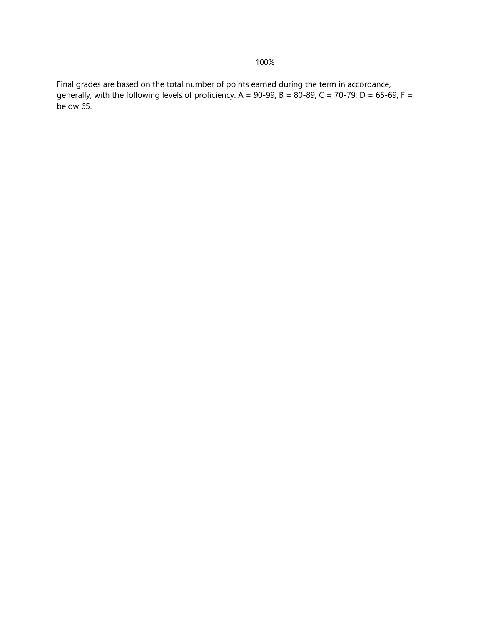Final grades are based on the total number of points earned during the term in accordance, generally, with the following levels of proficiency: A = 90-99; B = 80-89; C = 70-79; D = 65-69; F = below 65.

# 100%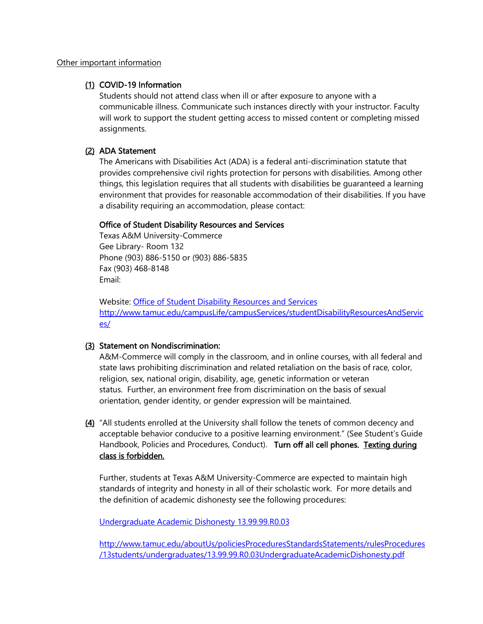#### Other important information

### (1) COVID-19 Information

Students should not attend class when ill or after exposure to anyone with a communicable illness. Communicate such instances directly with your instructor. Faculty will work to support the student getting access to missed content or completing missed assignments.

# (2) ADA Statement

The Americans with Disabilities Act (ADA) is a federal anti-discrimination statute that provides comprehensive civil rights protection for persons with disabilities. Among other things, this legislation requires that all students with disabilities be guaranteed a learning environment that provides for reasonable accommodation of their disabilities. If you have a disability requiring an accommodation, please contact:

### Office of Student Disability Resources and Services

Texas A&M University-Commerce Gee Library- Room 132 Phone (903) 886-5150 or (903) 886-5835 Fax (903) 468-8148 Email:

Website: [Office of Student Disability Resources and Services](http://www.tamuc.edu/campusLife/campusServices/studentDisabilityResourcesAndServices/) [http://www.tamuc.edu/campusLife/campusServices/studentDisabilityResourcesAndServic](http://www.tamuc.edu/campusLife/campusServices/studentDisabilityResourcesAndServices/) [es/](http://www.tamuc.edu/campusLife/campusServices/studentDisabilityResourcesAndServices/)

### (3) Statement on Nondiscrimination:

A&M-Commerce will comply in the classroom, and in online courses, with all federal and state laws prohibiting discrimination and related retaliation on the basis of race, color, religion, sex, national origin, disability, age, genetic information or veteran status. Further, an environment free from discrimination on the basis of sexual orientation, gender identity, or gender expression will be maintained.

(4) "All students enrolled at the University shall follow the tenets of common decency and acceptable behavior conducive to a positive learning environment." (See Student's Guide Handbook, Policies and Procedures, Conduct). Turn off all cell phones. Texting during class is forbidden.

Further, students at Texas A&M University-Commerce are expected to maintain high standards of integrity and honesty in all of their scholastic work. For more details and the definition of academic dishonesty see the following procedures:

[Undergraduate Academic Dishonesty 13.99.99.R0.03](http://www.tamuc.edu/aboutUs/policiesProceduresStandardsStatements/rulesProcedures/13students/undergraduates/13.99.99.R0.03UndergraduateAcademicDishonesty.pdf)

[http://www.tamuc.edu/aboutUs/policiesProceduresStandardsStatements/rulesProcedures](http://www.tamuc.edu/aboutUs/policiesProceduresStandardsStatements/rulesProcedures/13students/undergraduates/13.99.99.R0.03UndergraduateAcademicDishonesty.pdf) [/13students/undergraduates/13.99.99.R0.03UndergraduateAcademicDishonesty.pdf](http://www.tamuc.edu/aboutUs/policiesProceduresStandardsStatements/rulesProcedures/13students/undergraduates/13.99.99.R0.03UndergraduateAcademicDishonesty.pdf)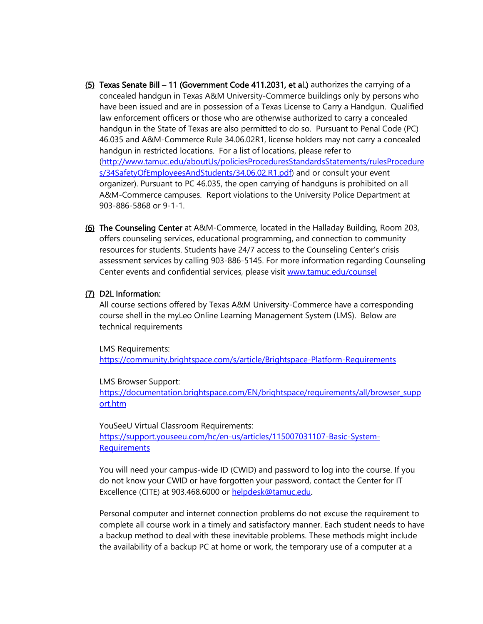- (5) Texas Senate Bill 11 (Government Code 411.2031, et al.) authorizes the carrying of a concealed handgun in Texas A&M University-Commerce buildings only by persons who have been issued and are in possession of a Texas License to Carry a Handgun. Qualified law enforcement officers or those who are otherwise authorized to carry a concealed handgun in the State of Texas are also permitted to do so. Pursuant to Penal Code (PC) 46.035 and A&M-Commerce Rule 34.06.02R1, license holders may not carry a concealed handgun in restricted locations. For a list of locations, please refer to [\(http://www.tamuc.edu/aboutUs/policiesProceduresStandardsStatements/rulesProcedure](http://www.tamuc.edu/aboutUs/policiesProceduresStandardsStatements/rulesProcedures/34SafetyOfEmployeesAndStudents/34.06.02.R1.pdf) [s/34SafetyOfEmployeesAndStudents/34.06.02.R1.pdf\)](http://www.tamuc.edu/aboutUs/policiesProceduresStandardsStatements/rulesProcedures/34SafetyOfEmployeesAndStudents/34.06.02.R1.pdf) and or consult your event organizer). Pursuant to PC 46.035, the open carrying of handguns is prohibited on all A&M-Commerce campuses. Report violations to the University Police Department at 903-886-5868 or 9-1-1.
- (6) The Counseling Center at A&M-Commerce, located in the Halladay Building, Room 203, offers counseling services, educational programming, and connection to community resources for students. Students have 24/7 access to the Counseling Center's crisis assessment services by calling 903-886-5145. For more information regarding Counseling Center events and confidential services, please visit [www.tamuc.edu/counsel](http://www.tamuc.edu/counsel)

#### (7) D2L Information:

All course sections offered by Texas A&M University-Commerce have a corresponding course shell in the myLeo Online Learning Management System (LMS). Below are technical requirements

LMS Requirements: <https://community.brightspace.com/s/article/Brightspace-Platform-Requirements>

LMS Browser Support: [https://documentation.brightspace.com/EN/brightspace/requirements/all/browser\\_supp](https://documentation.brightspace.com/EN/brightspace/requirements/all/browser_support.htm) [ort.htm](https://documentation.brightspace.com/EN/brightspace/requirements/all/browser_support.htm)

YouSeeU Virtual Classroom Requirements: [https://support.youseeu.com/hc/en-us/articles/115007031107-Basic-System-](https://support.youseeu.com/hc/en-us/articles/115007031107-Basic-System-Requirements)**[Requirements](https://support.youseeu.com/hc/en-us/articles/115007031107-Basic-System-Requirements)** 

You will need your campus-wide ID (CWID) and password to log into the course. If you do not know your CWID or have forgotten your password, contact the Center for IT Excellence (CITE) at 903.468.6000 or [helpdesk@tamuc.edu.](mailto:helpdesk@tamuc.edu)

Personal computer and internet connection problems do not excuse the requirement to complete all course work in a timely and satisfactory manner. Each student needs to have a backup method to deal with these inevitable problems. These methods might include the availability of a backup PC at home or work, the temporary use of a computer at a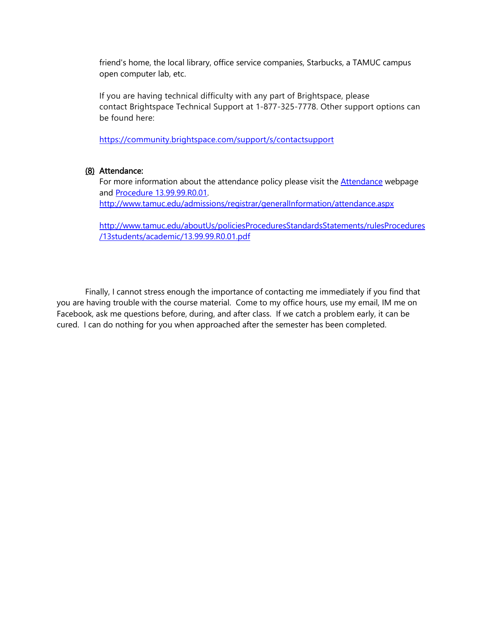friend's home, the local library, office service companies, Starbucks, a TAMUC campus open computer lab, etc.

If you are having technical difficulty with any part of Brightspace, please contact Brightspace Technical Support at 1-877-325-7778. Other support options can be found here:

<https://community.brightspace.com/support/s/contactsupport>

### (8) Attendance:

For more information about the attendance policy please visit the **Attendance** webpage and [Procedure 13.99.99.R0.01.](http://www.tamuc.edu/aboutUs/policiesProceduresStandardsStatements/rulesProcedures/13students/academic/13.99.99.R0.01.pdf) <http://www.tamuc.edu/admissions/registrar/generalInformation/attendance.aspx>

[http://www.tamuc.edu/aboutUs/policiesProceduresStandardsStatements/rulesProcedures](http://www.tamuc.edu/aboutUs/policiesProceduresStandardsStatements/rulesProcedures/13students/academic/13.99.99.R0.01.pdf) [/13students/academic/13.99.99.R0.01.pdf](http://www.tamuc.edu/aboutUs/policiesProceduresStandardsStatements/rulesProcedures/13students/academic/13.99.99.R0.01.pdf)

Finally, I cannot stress enough the importance of contacting me immediately if you find that you are having trouble with the course material. Come to my office hours, use my email, IM me on Facebook, ask me questions before, during, and after class. If we catch a problem early, it can be cured. I can do nothing for you when approached after the semester has been completed.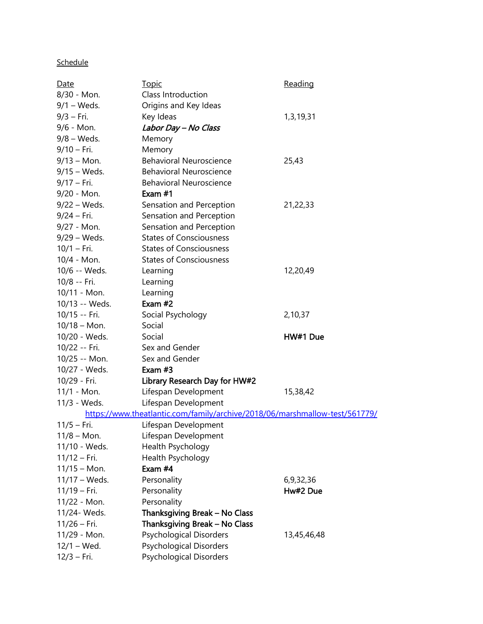# **Schedule**

| Date                                                                        | <u>Topic</u>                   | Reading     |  |  |
|-----------------------------------------------------------------------------|--------------------------------|-------------|--|--|
| 8/30 - Mon.                                                                 | Class Introduction             |             |  |  |
| $9/1 - Weds.$                                                               | Origins and Key Ideas          |             |  |  |
| $9/3 - Fri.$                                                                | Key Ideas                      | 1,3,19,31   |  |  |
| 9/6 - Mon.                                                                  | Labor Day - No Class           |             |  |  |
| $9/8$ – Weds.                                                               | Memory                         |             |  |  |
| 9/10 - Fri.                                                                 | Memory                         |             |  |  |
| $9/13 - Mon.$                                                               | <b>Behavioral Neuroscience</b> | 25,43       |  |  |
| $9/15 - Weds.$                                                              | <b>Behavioral Neuroscience</b> |             |  |  |
| 9/17 - Fri.                                                                 | <b>Behavioral Neuroscience</b> |             |  |  |
| 9/20 - Mon.                                                                 | Exam #1                        |             |  |  |
| $9/22 - Weds.$                                                              | Sensation and Perception       | 21,22,33    |  |  |
| 9/24 - Fri.                                                                 | Sensation and Perception       |             |  |  |
| 9/27 - Mon.                                                                 | Sensation and Perception       |             |  |  |
| 9/29 - Weds.                                                                | <b>States of Consciousness</b> |             |  |  |
| $10/1 - Fri.$                                                               | <b>States of Consciousness</b> |             |  |  |
| 10/4 - Mon.                                                                 | <b>States of Consciousness</b> |             |  |  |
| 10/6 -- Weds.                                                               | Learning                       | 12,20,49    |  |  |
| 10/8 -- Fri.                                                                | Learning                       |             |  |  |
| 10/11 - Mon.                                                                | Learning                       |             |  |  |
| 10/13 -- Weds.                                                              | Exam #2                        |             |  |  |
| 10/15 -- Fri.                                                               | Social Psychology              | 2,10,37     |  |  |
| $10/18 - Mon.$                                                              | Social                         |             |  |  |
| 10/20 - Weds.                                                               | Social                         | HW#1 Due    |  |  |
| 10/22 -- Fri.                                                               | Sex and Gender                 |             |  |  |
| 10/25 -- Mon.                                                               | Sex and Gender                 |             |  |  |
| 10/27 - Weds.                                                               | Exam #3                        |             |  |  |
| 10/29 - Fri.                                                                | Library Research Day for HW#2  |             |  |  |
| 11/1 - Mon.                                                                 | Lifespan Development           | 15,38,42    |  |  |
| 11/3 - Weds.                                                                | Lifespan Development           |             |  |  |
| https://www.theatlantic.com/family/archive/2018/06/marshmallow-test/561779/ |                                |             |  |  |
| $11/5 - Fri.$                                                               | Lifespan Development           |             |  |  |
| $11/8 - Mon.$                                                               | Lifespan Development           |             |  |  |
| 11/10 - Weds.                                                               | Health Psychology              |             |  |  |
| $11/12$ – Fri.                                                              | Health Psychology              |             |  |  |
| $11/15 - Mon.$                                                              | Exam $#4$                      |             |  |  |
| $11/17 - Weds.$                                                             | Personality                    | 6,9,32,36   |  |  |
| $11/19 - Fri.$                                                              | Personality                    | Hw#2 Due    |  |  |
| 11/22 - Mon.                                                                | Personality                    |             |  |  |
| 11/24- Weds.                                                                | Thanksgiving Break - No Class  |             |  |  |
| $11/26$ – Fri.                                                              | Thanksgiving Break - No Class  |             |  |  |
| 11/29 - Mon.                                                                | <b>Psychological Disorders</b> | 13,45,46,48 |  |  |
| $12/1 - Wed.$                                                               | <b>Psychological Disorders</b> |             |  |  |
| $12/3 - Fri.$                                                               | <b>Psychological Disorders</b> |             |  |  |